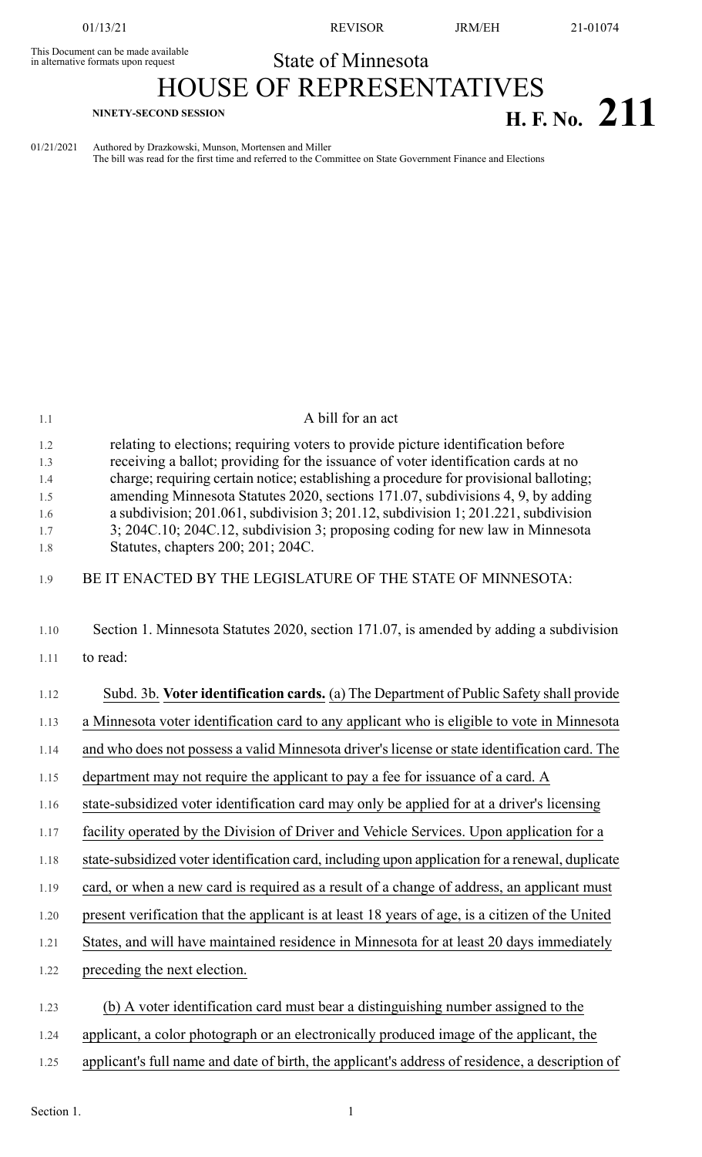This Document can be made available<br>in alternative formats upon request

01/13/21 REVISOR JRM/EH 21-01074

## State of Minnesota

## HOUSE OF REPRESENTATIVES **H. F. No.** 211

01/21/2021 Authored by Drazkowski, Munson, Mortensen and Miller The bill was read for the first time and referred to the Committee on State Government Finance and Elections

| 1.1        | A bill for an act                                                                                                                                                            |
|------------|------------------------------------------------------------------------------------------------------------------------------------------------------------------------------|
| 1.2<br>1.3 | relating to elections; requiring voters to provide picture identification before<br>receiving a ballot; providing for the issuance of voter identification cards at no       |
| 1.4        | charge; requiring certain notice; establishing a procedure for provisional balloting;                                                                                        |
| 1.5        | amending Minnesota Statutes 2020, sections 171.07, subdivisions 4, 9, by adding                                                                                              |
| 1.6<br>1.7 | a subdivision; $201.061$ , subdivision 3; $201.12$ , subdivision 1; $201.221$ , subdivision<br>3; 204C.10; 204C.12, subdivision 3; proposing coding for new law in Minnesota |
| 1.8        | Statutes, chapters 200; 201; 204C.                                                                                                                                           |
| 1.9        | BE IT ENACTED BY THE LEGISLATURE OF THE STATE OF MINNESOTA:                                                                                                                  |
| 1.10       | Section 1. Minnesota Statutes 2020, section 171.07, is amended by adding a subdivision                                                                                       |
| 1.11       | to read:                                                                                                                                                                     |
| 1.12       | Subd. 3b. Voter identification cards. (a) The Department of Public Safety shall provide                                                                                      |
| 1.13       | a Minnesota voter identification card to any applicant who is eligible to vote in Minnesota                                                                                  |
| 1.14       | and who does not possess a valid Minnesota driver's license or state identification card. The                                                                                |
| 1.15       | department may not require the applicant to pay a fee for issuance of a card. A                                                                                              |
| 1.16       | state-subsidized voter identification card may only be applied for at a driver's licensing                                                                                   |
| 1.17       | facility operated by the Division of Driver and Vehicle Services. Upon application for a                                                                                     |
| 1.18       | state-subsidized voter identification card, including upon application for a renewal, duplicate                                                                              |
| 1.19       | card, or when a new card is required as a result of a change of address, an applicant must                                                                                   |
| 1.20       | present verification that the applicant is at least 18 years of age, is a citizen of the United                                                                              |
| 1.21       | States, and will have maintained residence in Minnesota for at least 20 days immediately                                                                                     |
| 1.22       | preceding the next election.                                                                                                                                                 |
| 1.23       | (b) A voter identification card must bear a distinguishing number assigned to the                                                                                            |
| 1.24       | applicant, a color photograph or an electronically produced image of the applicant, the                                                                                      |
| 1.25       | applicant's full name and date of birth, the applicant's address of residence, a description of                                                                              |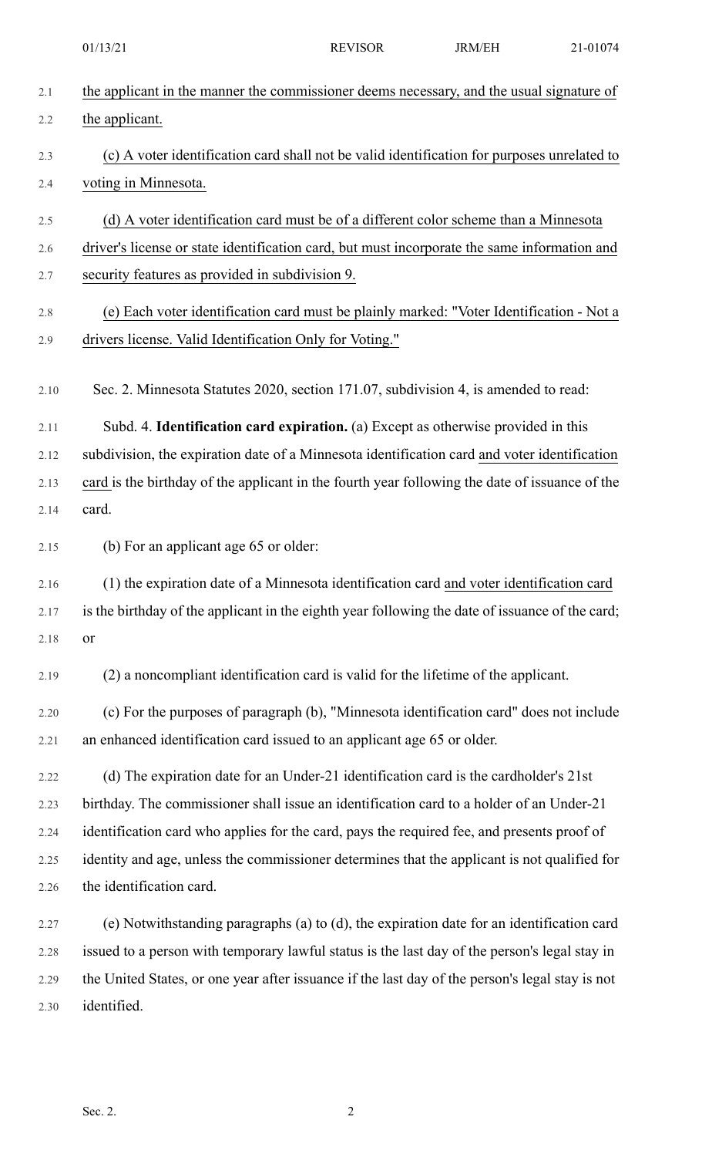|      | 01/13/21                                                                                        | <b>REVISOR</b> | <b>JRM/EH</b> | 21-01074 |
|------|-------------------------------------------------------------------------------------------------|----------------|---------------|----------|
| 2.1  | the applicant in the manner the commissioner deems necessary, and the usual signature of        |                |               |          |
| 2.2  | the applicant.                                                                                  |                |               |          |
| 2.3  | (c) A voter identification card shall not be valid identification for purposes unrelated to     |                |               |          |
| 2.4  | voting in Minnesota.                                                                            |                |               |          |
| 2.5  | (d) A voter identification card must be of a different color scheme than a Minnesota            |                |               |          |
| 2.6  | driver's license or state identification card, but must incorporate the same information and    |                |               |          |
| 2.7  | security features as provided in subdivision 9.                                                 |                |               |          |
| 2.8  | (e) Each voter identification card must be plainly marked: "Voter Identification - Not a        |                |               |          |
| 2.9  | drivers license. Valid Identification Only for Voting."                                         |                |               |          |
| 2.10 | Sec. 2. Minnesota Statutes 2020, section 171.07, subdivision 4, is amended to read:             |                |               |          |
| 2.11 | Subd. 4. Identification card expiration. (a) Except as otherwise provided in this               |                |               |          |
| 2.12 | subdivision, the expiration date of a Minnesota identification card and voter identification    |                |               |          |
| 2.13 | card is the birthday of the applicant in the fourth year following the date of issuance of the  |                |               |          |
| 2.14 | card.                                                                                           |                |               |          |
| 2.15 | (b) For an applicant age 65 or older:                                                           |                |               |          |
| 2.16 | (1) the expiration date of a Minnesota identification card and voter identification card        |                |               |          |
| 2.17 | is the birthday of the applicant in the eighth year following the date of issuance of the card; |                |               |          |
| 2.18 | or                                                                                              |                |               |          |
| 2.19 | (2) a noncompliant identification card is valid for the lifetime of the applicant.              |                |               |          |
| 2.20 | (c) For the purposes of paragraph (b), "Minnesota identification card" does not include         |                |               |          |
| 2.21 | an enhanced identification card issued to an applicant age 65 or older.                         |                |               |          |
| 2.22 | (d) The expiration date for an Under-21 identification card is the cardholder's 21st            |                |               |          |
| 2.23 | birthday. The commissioner shall issue an identification card to a holder of an Under-21        |                |               |          |
| 2.24 | identification card who applies for the card, pays the required fee, and presents proof of      |                |               |          |
| 2.25 | identity and age, unless the commissioner determines that the applicant is not qualified for    |                |               |          |
| 2.26 | the identification card.                                                                        |                |               |          |
| 2.27 | (e) Notwithstanding paragraphs (a) to (d), the expiration date for an identification card       |                |               |          |
| 2.28 | issued to a person with temporary lawful status is the last day of the person's legal stay in   |                |               |          |
| 2.29 | the United States, or one year after issuance if the last day of the person's legal stay is not |                |               |          |
| 2.30 | identified.                                                                                     |                |               |          |
|      |                                                                                                 |                |               |          |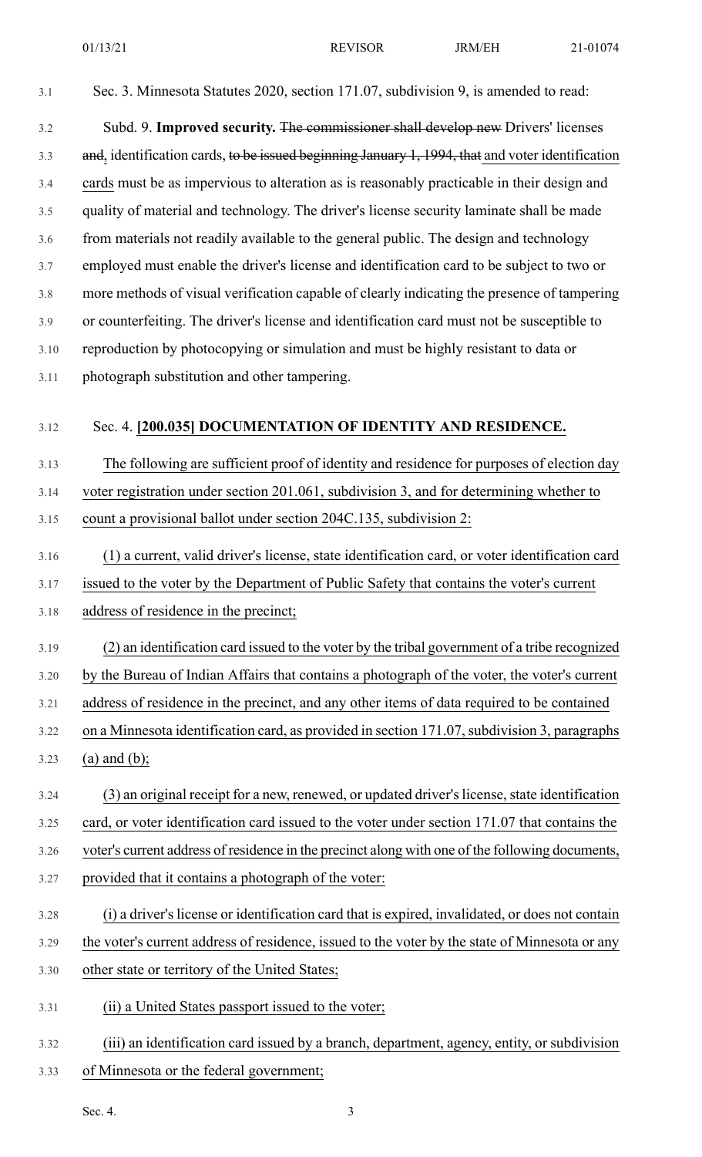| 3.1  | Sec. 3. Minnesota Statutes 2020, section 171.07, subdivision 9, is amended to read:              |
|------|--------------------------------------------------------------------------------------------------|
| 3.2  | Subd. 9. Improved security. The commissioner shall develop new Drivers' licenses                 |
| 3.3  | and, identification cards, to be issued beginning January 1, 1994, that and voter identification |
| 3.4  | cards must be as impervious to alteration as is reasonably practicable in their design and       |
| 3.5  | quality of material and technology. The driver's license security laminate shall be made         |
| 3.6  | from materials not readily available to the general public. The design and technology            |
| 3.7  | employed must enable the driver's license and identification card to be subject to two or        |
| 3.8  | more methods of visual verification capable of clearly indicating the presence of tampering      |
| 3.9  | or counterfeiting. The driver's license and identification card must not be susceptible to       |
| 3.10 | reproduction by photocopying or simulation and must be highly resistant to data or               |
| 3.11 | photograph substitution and other tampering.                                                     |
|      |                                                                                                  |
| 3.12 | Sec. 4. [200.035] DOCUMENTATION OF IDENTITY AND RESIDENCE.                                       |
| 3.13 | The following are sufficient proof of identity and residence for purposes of election day        |
| 3.14 | voter registration under section 201.061, subdivision 3, and for determining whether to          |
| 3.15 | count a provisional ballot under section 204C.135, subdivision 2:                                |
| 3.16 | (1) a current, valid driver's license, state identification card, or voter identification card   |
| 3.17 | issued to the voter by the Department of Public Safety that contains the voter's current         |
| 3.18 | address of residence in the precinct;                                                            |
| 3.19 | (2) an identification card issued to the voter by the tribal government of a tribe recognized    |
| 3.20 | by the Bureau of Indian Affairs that contains a photograph of the voter, the voter's current     |
| 3.21 | address of residence in the precinct, and any other items of data required to be contained       |
| 3.22 | on a Minnesota identification card, as provided in section 171.07, subdivision 3, paragraphs     |
| 3.23 | $(a)$ and $(b)$ ;                                                                                |
| 3.24 | (3) an original receipt for a new, renewed, or updated driver's license, state identification    |
| 3.25 | card, or voter identification card issued to the voter under section 171.07 that contains the    |
| 3.26 | voter's current address of residence in the precinct along with one of the following documents,  |
| 3.27 | provided that it contains a photograph of the voter:                                             |
| 3.28 | (i) a driver's license or identification card that is expired, invalidated, or does not contain  |
| 3.29 | the voter's current address of residence, issued to the voter by the state of Minnesota or any   |
| 3.30 | other state or territory of the United States;                                                   |
| 3.31 | (ii) a United States passport issued to the voter;                                               |
|      |                                                                                                  |

- 3.32 (iii) an identification card issued by a branch, department, agency, entity, or subdivision 3.33 of Minnesota or the federal government;
	- Sec. 4. 3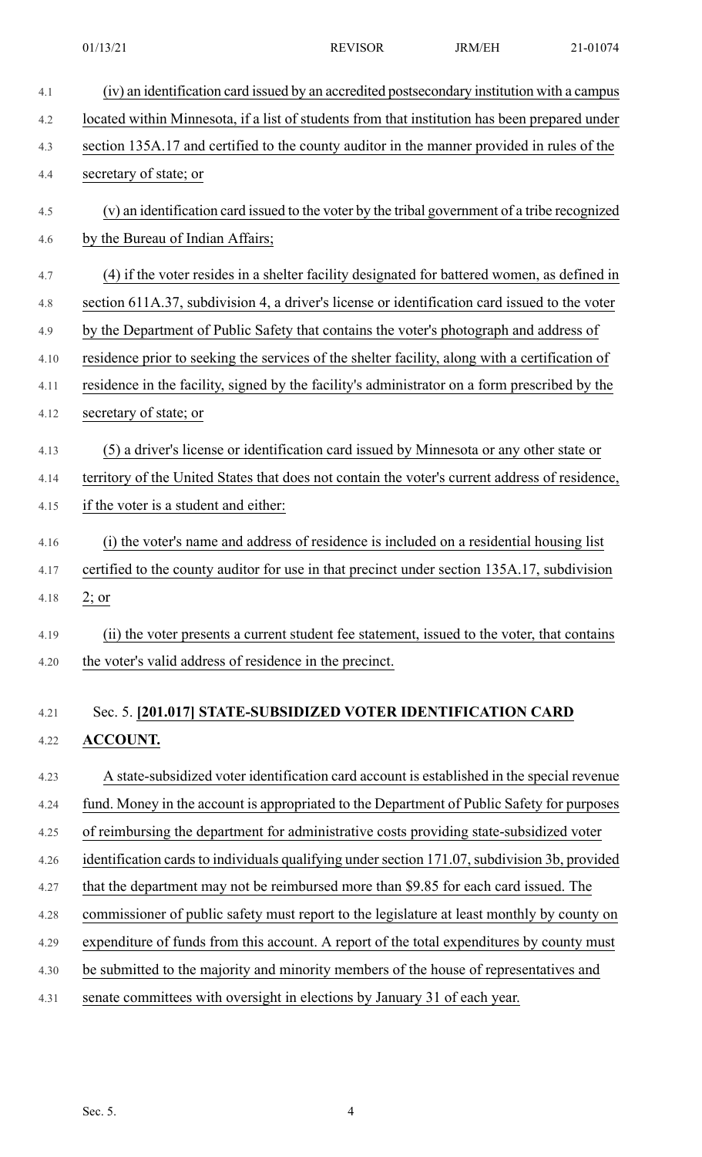4.1 (iv) an identification card issued by an accredited postsecondary institution with a campus 4.2 located within Minnesota, if a list of students from that institution has been prepared under 4.3 section 135A.17 and certified to the county auditor in the manner provided in rules of the 4.4 secretary of state; or 4.5 (v) an identification card issued to the voter by the tribal government of a tribe recognized 4.6 by the Bureau of Indian Affairs; 4.7 (4) if the voter resides in a shelter facility designated for battered women, as defined in 4.8 section 611A.37, subdivision 4, a driver's license or identification card issued to the voter 4.9 by the Department of Public Safety that contains the voter's photograph and address of 4.10 residence prior to seeking the services of the shelter facility, along with a certification of 4.11 residence in the facility, signed by the facility's administrator on a form prescribed by the 4.12 secretary of state; or 4.13 (5) a driver's license or identification card issued by Minnesota or any other state or 4.14 territory of the United States that does not contain the voter's current address of residence, 4.15 if the voter is a student and either: 4.16 (i) the voter's name and address of residence is included on a residential housing list 4.17 certified to the county auditor for use in that precinct under section 135A.17, subdivision 4.18 2; or 4.19 (ii) the voter presents a current student fee statement, issued to the voter, that contains 4.20 the voter's valid address of residence in the precinct. 4.21 Sec. 5. **[201.017] STATE-SUBSIDIZED VOTER IDENTIFICATION CARD** 4.22 **ACCOUNT.** 4.23 A state-subsidized voter identification card account is established in the special revenue 4.24 fund. Money in the account is appropriated to the Department of Public Safety for purposes 4.25 of reimbursing the department for administrative costs providing state-subsidized voter 4.26 identification cards to individuals qualifying under section 171.07, subdivision 3b, provided 4.27 that the department may not be reimbursed more than \$9.85 for each card issued. The 4.28 commissioner of public safety must report to the legislature at least monthly by county on 4.29 expenditure of funds from this account. A report of the total expenditures by county must 4.30 be submitted to the majority and minority members of the house of representatives and 4.31 senate committees with oversight in elections by January 31 of each year.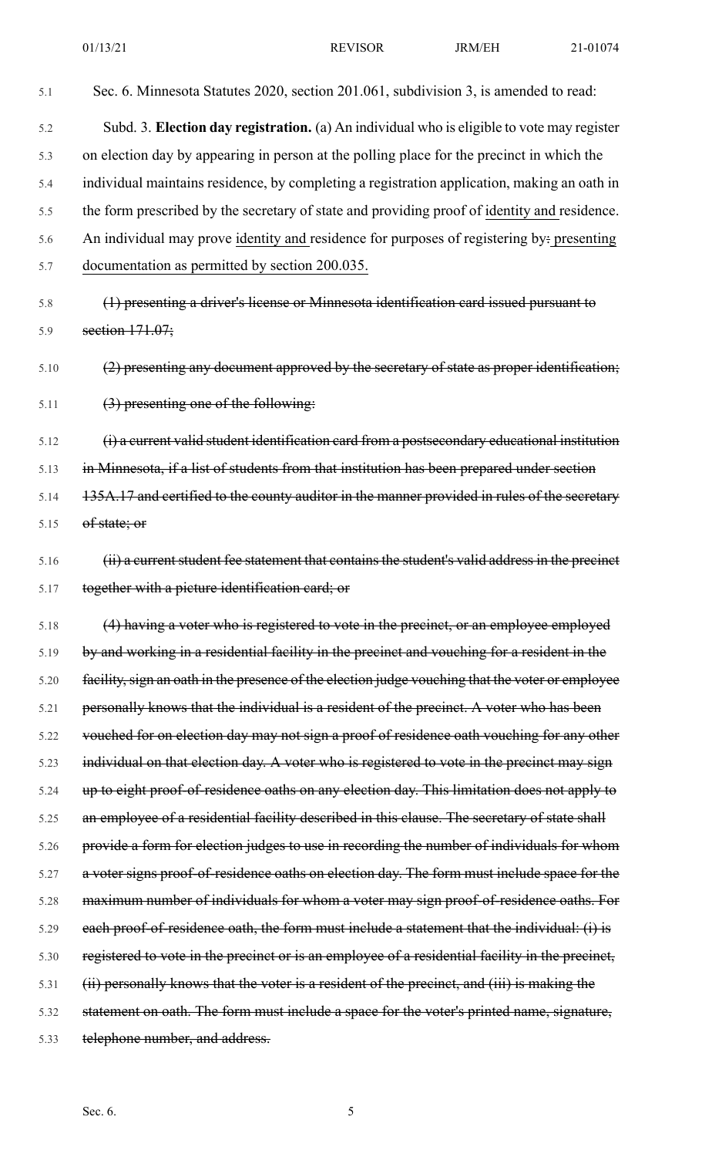5.1 Sec. 6. Minnesota Statutes 2020, section 201.061, subdivision 3, is amended to read: 5.2 Subd. 3. **Election day registration.** (a) An individual who is eligible to vote may register 5.3 on election day by appearing in person at the polling place for the precinct in which the 5.4 individual maintains residence, by completing a registration application, making an oath in 5.5 the form prescribed by the secretary of state and providing proof of identity and residence. 5.6 An individual may prove identity and residence for purposes of registering by: presenting 5.7 documentation as permitted by section 200.035. 5.8 (1) presenting a driver's license or Minnesota identification card issued pursuant to 5.9 section 171.07; 5.10 (2) presenting any document approved by the secretary of state as proper identification; 5.11  $(3)$  presenting one of the following: 5.12 (i) a current valid student identification card from a postsecondary educational institution 5.13 in Minnesota, if a list of students from that institution has been prepared under section 5.14 135A.17 and certified to the county auditor in the manner provided in rules of the secretary 5.15 of state; or 5.16 (ii) a current student fee statement that contains the student's valid address in the precinct 5.17 together with a picture identification card; or 5.18 (4) having a voter who is registered to vote in the precinct, or an employee employed 5.19 by and working in a residential facility in the precinct and vouching for a resident in the 5.20 facility, sign an oath in the presence of the election judge vouching that the voter or employee 5.21 personally knows that the individual is a resident of the precinct. A voter who has been 5.22 vouched for on election day may not sign a proof of residence oath vouching for any other 5.23 individual on that election day. A voter who is registered to vote in the precinct may sign 5.24 up to eight proof-of-residence oaths on any election day. This limitation does not apply to 5.25 an employee of a residential facility described in this clause. The secretary of state shall 5.26 provide a form for election judges to use in recording the number of individuals for whom 5.27 a voter signs proof-of-residence oaths on election day. The form must include space for the 5.28 maximum number of individuals for whom a voter may sign proof-of-residence oaths. For 5.29 each proof-of-residence oath, the form must include a statement that the individual: (i) is 5.30 registered to vote in the precinct or is an employee of a residential facility in the precinct, 5.31 (ii) personally knows that the voter is a resident of the precinct, and (iii) is making the 5.32 statement on oath. The form must include a space for the voter's printed name, signature, 5.33 telephone number, and address.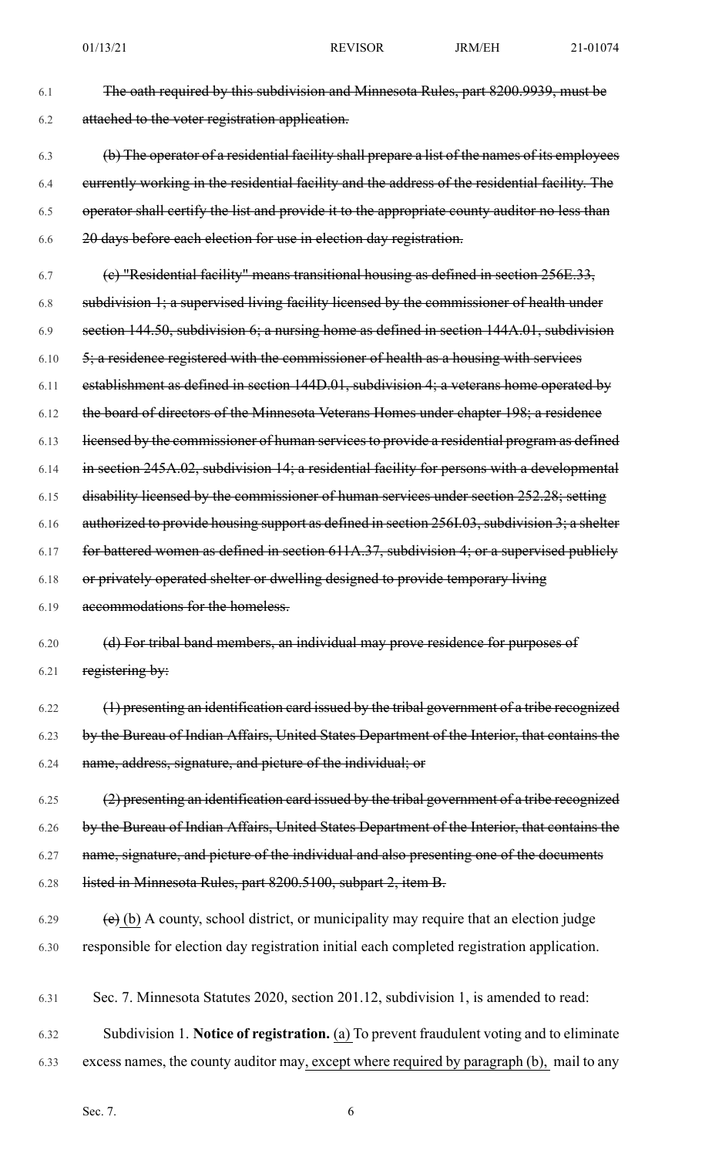| 6.1 | The oath required by this subdivision and Minnesota Rules, part 8200.9939, must be |
|-----|------------------------------------------------------------------------------------|
| 6.2 | attached to the voter registration application.                                    |

- 6.3 (b) The operator of a residential facility shall prepare a list of the names of its employees 6.4 currently working in the residential facility and the address of the residential facility. The 6.5 operator shall certify the list and provide it to the appropriate county auditor no less than 6.6 20 days before each election for use in election day registration.
- $6.7$  (c) "Residential facility" means transitional housing as defined in section 256E.33, 6.8 subdivision 1; a supervised living facility licensed by the commissioner of health under 6.9 section 144.50, subdivision 6; a nursing home as defined in section 144A.01, subdivision  $6.10$   $\frac{5}{3}$ ; a residence registered with the commissioner of health as a housing with services 6.11 establishment as defined in section 144D.01, subdivision 4; a veterans home operated by 6.12 the board of directors of the Minnesota Veterans Homes under chapter 198; a residence 6.13 licensed by the commissioner of human services to provide a residential program as defined 6.14 in section 245A.02, subdivision 14; a residential facility for persons with a developmental 6.15 disability licensed by the commissioner of human services under section 252.28; setting 6.16 authorized to provide housing support as defined in section 256I.03, subdivision 3; a shelter 6.17 for battered women as defined in section 611A.37, subdivision 4; or a supervised publicly 6.18 or privately operated shelter or dwelling designed to provide temporary living 6.19 accommodations for the homeless. 6.20 (d) For tribal band members, an individual may prove residence for purposes of 6.21 registering by: 6.22 (1) presenting an identification card issued by the tribal government of a tribe recognized
	- 6.23 by the Bureau of Indian Affairs, United States Department of the Interior, that contains the 6.24 name, address, signature, and picture of the individual; or
	- 6.25 (2) presenting an identification card issued by the tribal government of a tribe recognized 6.26 by the Bureau of Indian Affairs, United States Department of the Interior, that contains the 6.27 name, signature, and picture of the individual and also presenting one of the documents 6.28 listed in Minnesota Rules, part 8200.5100, subpart 2, item B.
	- $(e)$  (b) A county, school district, or municipality may require that an election judge 6.30 responsible for election day registration initial each completed registration application.
- 6.31 Sec. 7. Minnesota Statutes 2020, section 201.12, subdivision 1, is amended to read:
- 6.32 Subdivision 1. **Notice of registration.** (a) To prevent fraudulent voting and to eliminate
- 6.33 excess names, the county auditor may, except where required by paragraph (b), mail to any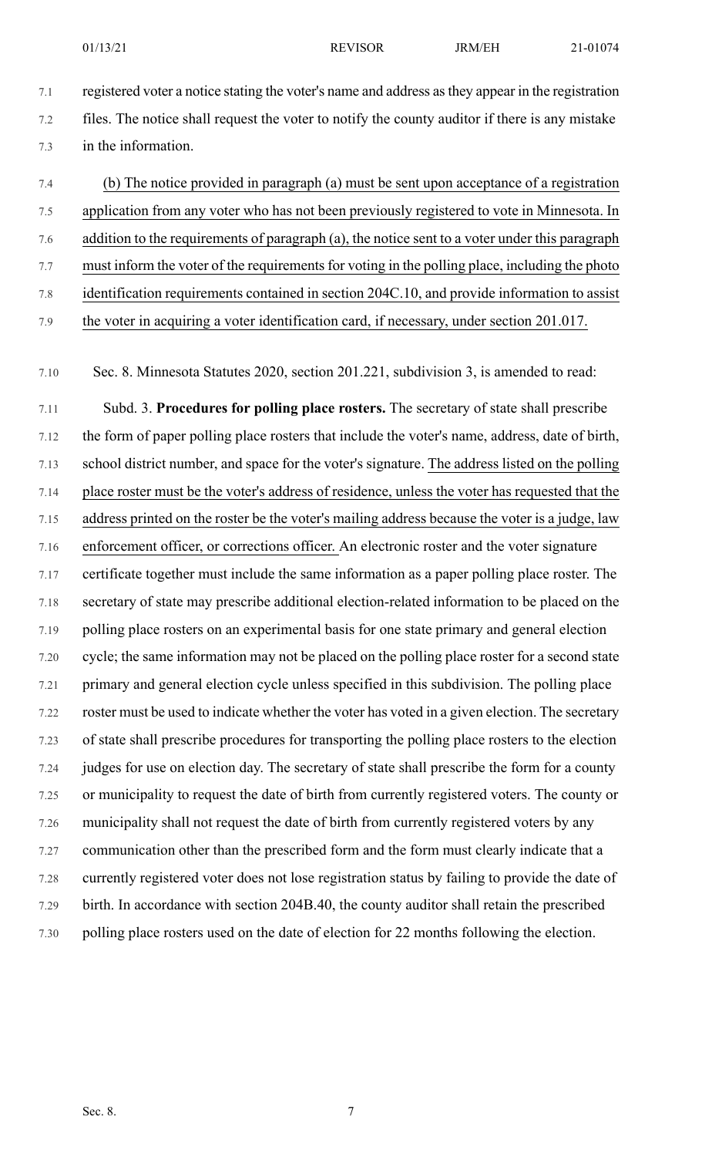- 7.1 registered voter a notice stating the voter's name and address asthey appear in the registration 7.2 files. The notice shall request the voter to notify the county auditor if there is any mistake 7.3 in the information.
- 7.4 (b) The notice provided in paragraph (a) must be sent upon acceptance of a registration 7.5 application from any voter who has not been previously registered to vote in Minnesota. In 7.6 addition to the requirements of paragraph (a), the notice sent to a voter under this paragraph 7.7 must inform the voter of the requirements for voting in the polling place, including the photo 7.8 identification requirements contained in section 204C.10, and provide information to assist 7.9 the voter in acquiring a voter identification card, if necessary, under section 201.017.
- 7.10 Sec. 8. Minnesota Statutes 2020, section 201.221, subdivision 3, is amended to read:
- 7.11 Subd. 3. **Procedures for polling place rosters.** The secretary of state shall prescribe 7.12 the form of paper polling place rosters that include the voter's name, address, date of birth, 7.13 school district number, and space for the voter's signature. The address listed on the polling 7.14 place roster must be the voter's address of residence, unless the voter has requested that the 7.15 address printed on the roster be the voter's mailing address because the voter is a judge, law 7.16 enforcement officer, or corrections officer. An electronic roster and the voter signature 7.17 certificate together must include the same information as a paper polling place roster. The 7.18 secretary of state may prescribe additional election-related information to be placed on the 7.19 polling place rosters on an experimental basis for one state primary and general election 7.20 cycle; the same information may not be placed on the polling place roster for a second state 7.21 primary and general election cycle unless specified in this subdivision. The polling place 7.22 roster must be used to indicate whether the voter has voted in a given election. The secretary 7.23 of state shall prescribe procedures for transporting the polling place rosters to the election 7.24 judges for use on election day. The secretary of state shall prescribe the form for a county 7.25 or municipality to request the date of birth from currently registered voters. The county or 7.26 municipality shall not request the date of birth from currently registered voters by any 7.27 communication other than the prescribed form and the form must clearly indicate that a 7.28 currently registered voter does not lose registration status by failing to provide the date of 7.29 birth. In accordance with section 204B.40, the county auditor shall retain the prescribed 7.30 polling place rosters used on the date of election for 22 months following the election.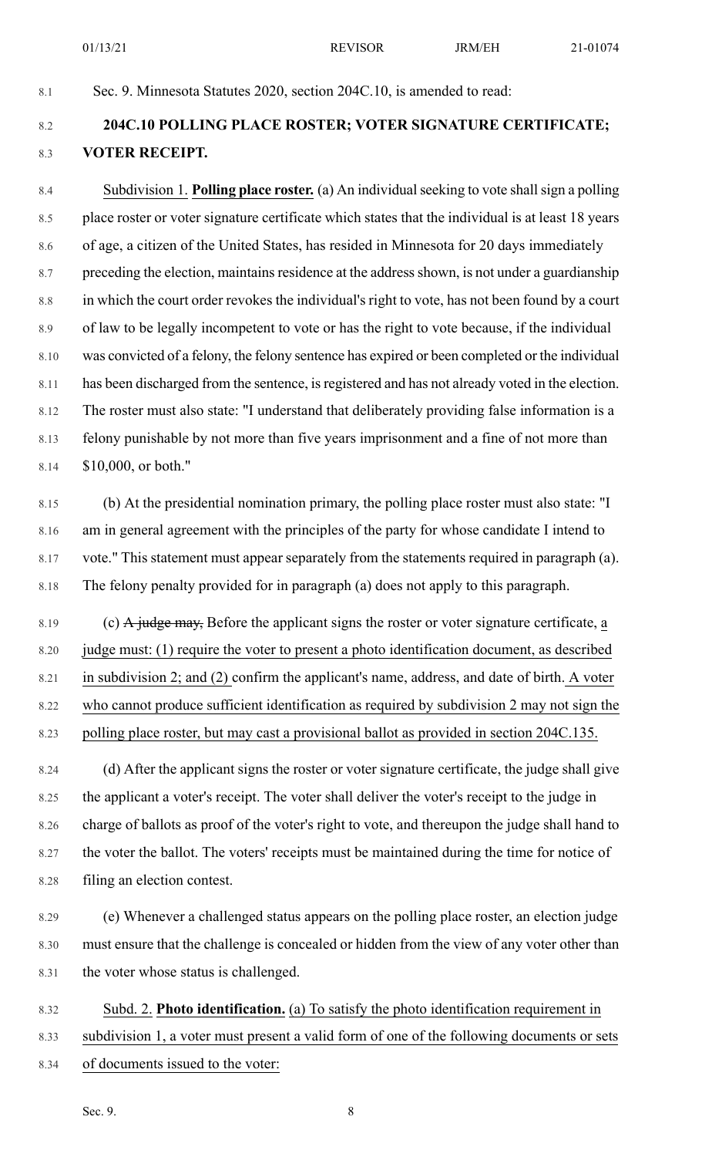8.1 Sec. 9. Minnesota Statutes 2020, section 204C.10, is amended to read:

## 8.2 **204C.10 POLLING PLACE ROSTER; VOTER SIGNATURE CERTIFICATE;** 8.3 **VOTER RECEIPT.**

8.4 Subdivision 1. **Polling place roster.** (a) An individual seeking to vote shall sign a polling 8.5 place roster or voter signature certificate which states that the individual is at least 18 years 8.6 of age, a citizen of the United States, has resided in Minnesota for 20 days immediately 8.7 preceding the election, maintains residence at the address shown, is not under a guardianship 8.8 in which the court order revokes the individual's right to vote, has not been found by a court 8.9 of law to be legally incompetent to vote or has the right to vote because, if the individual 8.10 was convicted of a felony, the felony sentence has expired or been completed or the individual 8.11 has been discharged from the sentence, is registered and has not already voted in the election. 8.12 The roster must also state: "I understand that deliberately providing false information is a 8.13 felony punishable by not more than five years imprisonment and a fine of not more than 8.14 \$10,000, or both."

8.15 (b) At the presidential nomination primary, the polling place roster must also state: "I 8.16 am in general agreement with the principles of the party for whose candidate I intend to 8.17 vote." This statement must appear separately from the statements required in paragraph (a). 8.18 The felony penalty provided for in paragraph (a) does not apply to this paragraph.

8.19 (c)  $\overline{A}$  judge may, Before the applicant signs the roster or voter signature certificate, a 8.20 judge must: (1) require the voter to present a photo identification document, as described 8.21 in subdivision 2; and (2) confirm the applicant's name, address, and date of birth. A voter 8.22 who cannot produce sufficient identification as required by subdivision 2 may not sign the 8.23 polling place roster, but may cast a provisional ballot as provided in section 204C.135.

8.24 (d) After the applicant signs the roster or voter signature certificate, the judge shall give 8.25 the applicant a voter's receipt. The voter shall deliver the voter's receipt to the judge in 8.26 charge of ballots as proof of the voter's right to vote, and thereupon the judge shall hand to 8.27 the voter the ballot. The voters' receipts must be maintained during the time for notice of 8.28 filing an election contest.

8.29 (e) Whenever a challenged status appears on the polling place roster, an election judge 8.30 must ensure that the challenge is concealed or hidden from the view of any voter other than 8.31 the voter whose status is challenged.

8.32 Subd. 2. **Photo identification.** (a) To satisfy the photo identification requirement in

8.33 subdivision 1, a voter must present a valid form of one of the following documents or sets

8.34 of documents issued to the voter: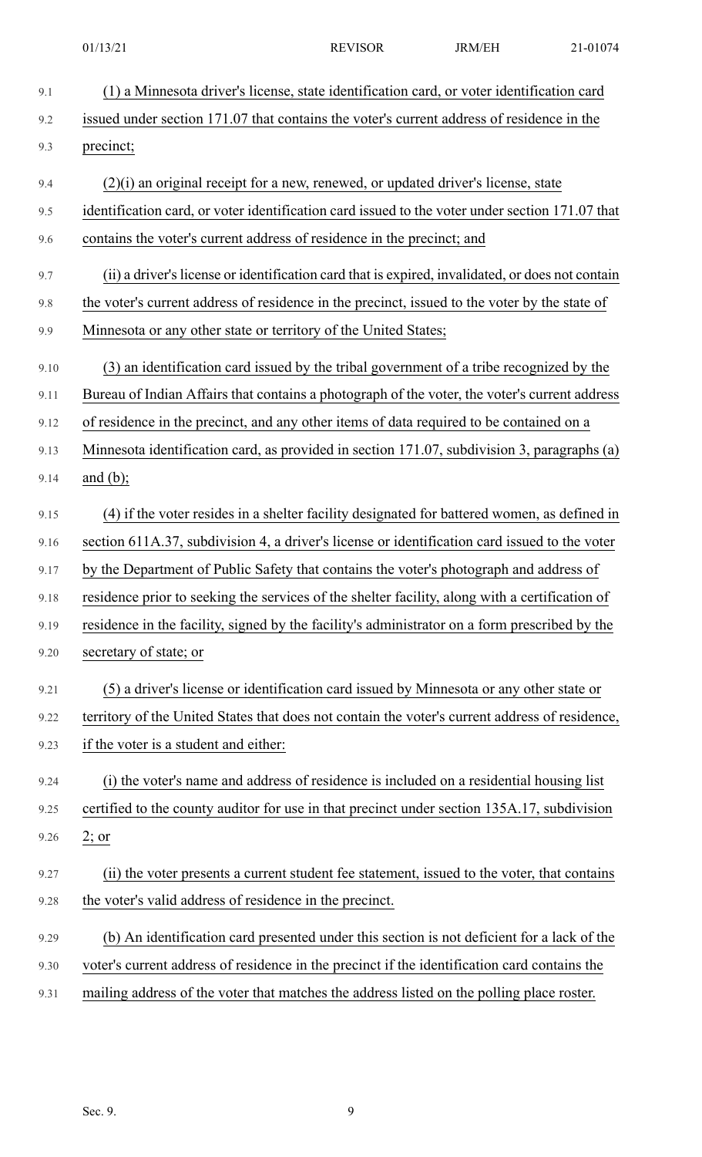9.1 (1) a Minnesota driver's license, state identification card, or voter identification card 9.2 issued under section 171.07 that contains the voter's current address of residence in the 9.3 precinct; 9.4 (2)(i) an original receipt for a new, renewed, or updated driver's license, state 9.5 identification card, or voter identification card issued to the voter under section 171.07 that 9.6 contains the voter's current address of residence in the precinct; and 9.7 (ii) a driver's license or identification card that is expired, invalidated, or does not contain 9.8 the voter's current address of residence in the precinct, issued to the voter by the state of 9.9 Minnesota or any other state or territory of the United States; 9.10 (3) an identification card issued by the tribal government of a tribe recognized by the 9.11 Bureau of Indian Affairs that contains a photograph of the voter, the voter's current address 9.12 of residence in the precinct, and any other items of data required to be contained on a 9.13 Minnesota identification card, as provided in section 171.07, subdivision 3, paragraphs (a) 9.14 and (b); 9.15 (4) if the voter resides in a shelter facility designated for battered women, as defined in 9.16 section 611A.37, subdivision 4, a driver's license or identification card issued to the voter 9.17 by the Department of Public Safety that contains the voter's photograph and address of 9.18 residence prior to seeking the services of the shelter facility, along with a certification of 9.19 residence in the facility, signed by the facility's administrator on a form prescribed by the 9.20 secretary of state; or 9.21 (5) a driver's license or identification card issued by Minnesota or any other state or 9.22 territory of the United States that does not contain the voter's current address of residence, 9.23 if the voter is a student and either: 9.24 (i) the voter's name and address of residence is included on a residential housing list 9.25 certified to the county auditor for use in that precinct under section 135A.17, subdivision 9.26  $2; or$ 9.27 (ii) the voter presents a current student fee statement, issued to the voter, that contains 9.28 the voter's valid address of residence in the precinct. 9.29 (b) An identification card presented under this section is not deficient for a lack of the 9.30 voter's current address of residence in the precinct if the identification card contains the 9.31 mailing address of the voter that matches the address listed on the polling place roster.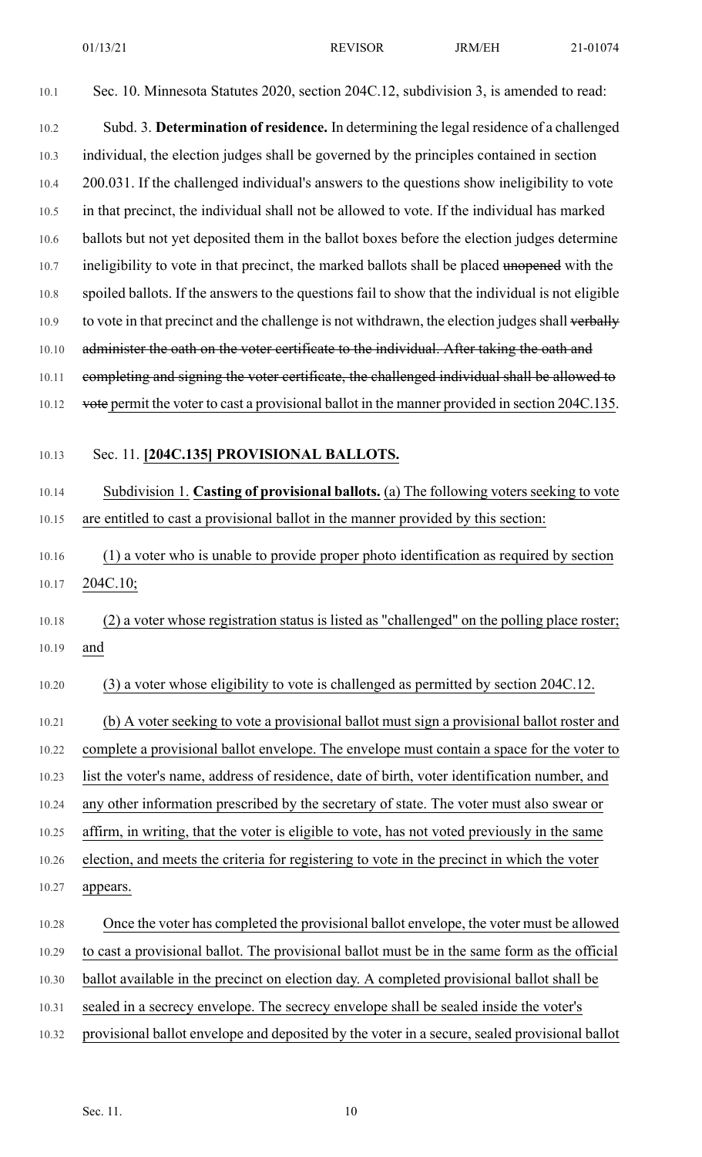10.1 Sec. 10. Minnesota Statutes 2020, section 204C.12, subdivision 3, is amended to read:

10.2 Subd. 3. **Determination of residence.** In determining the legal residence of a challenged 10.3 individual, the election judges shall be governed by the principles contained in section 10.4 200.031. If the challenged individual's answers to the questions show ineligibility to vote 10.5 in that precinct, the individual shall not be allowed to vote. If the individual has marked 10.6 ballots but not yet deposited them in the ballot boxes before the election judges determine 10.7 ineligibility to vote in that precinct, the marked ballots shall be placed unopened with the 10.8 spoiled ballots. If the answers to the questions fail to show that the individual is not eligible 10.9 to vote in that precinct and the challenge is not withdrawn, the election judges shall verbally 10.10 administer the oath on the voter certificate to the individual. After taking the oath and 10.11 completing and signing the voter certificate, the challenged individual shall be allowed to 10.12 vote permit the voter to cast a provisional ballot in the manner provided in section 204C.135.

10.13 Sec. 11. **[204C.135] PROVISIONAL BALLOTS.**

10.14 Subdivision 1. **Casting of provisional ballots.** (a) The following voters seeking to vote 10.15 are entitled to cast a provisional ballot in the manner provided by this section:

10.16 (1) a voter who is unable to provide proper photo identification as required by section 10.17 204C.10;

10.18 (2) a voter whose registration status is listed as "challenged" on the polling place roster; 10.19 and

10.20 (3) a voter whose eligibility to vote is challenged as permitted by section 204C.12.

10.21 (b) A voter seeking to vote a provisional ballot must sign a provisional ballot roster and 10.22 complete a provisional ballot envelope. The envelope must contain a space for the voter to 10.23 list the voter's name, address of residence, date of birth, voter identification number, and 10.24 any other information prescribed by the secretary of state. The voter must also swear or 10.25 affirm, in writing, that the voter is eligible to vote, has not voted previously in the same 10.26 election, and meets the criteria for registering to vote in the precinct in which the voter 10.27 appears.

10.28 Once the voter has completed the provisional ballot envelope, the voter must be allowed 10.29 to cast a provisional ballot. The provisional ballot must be in the same form as the official 10.30 ballot available in the precinct on election day. A completed provisional ballot shall be 10.31 sealed in a secrecy envelope. The secrecy envelope shall be sealed inside the voter's 10.32 provisional ballot envelope and deposited by the voter in a secure, sealed provisional ballot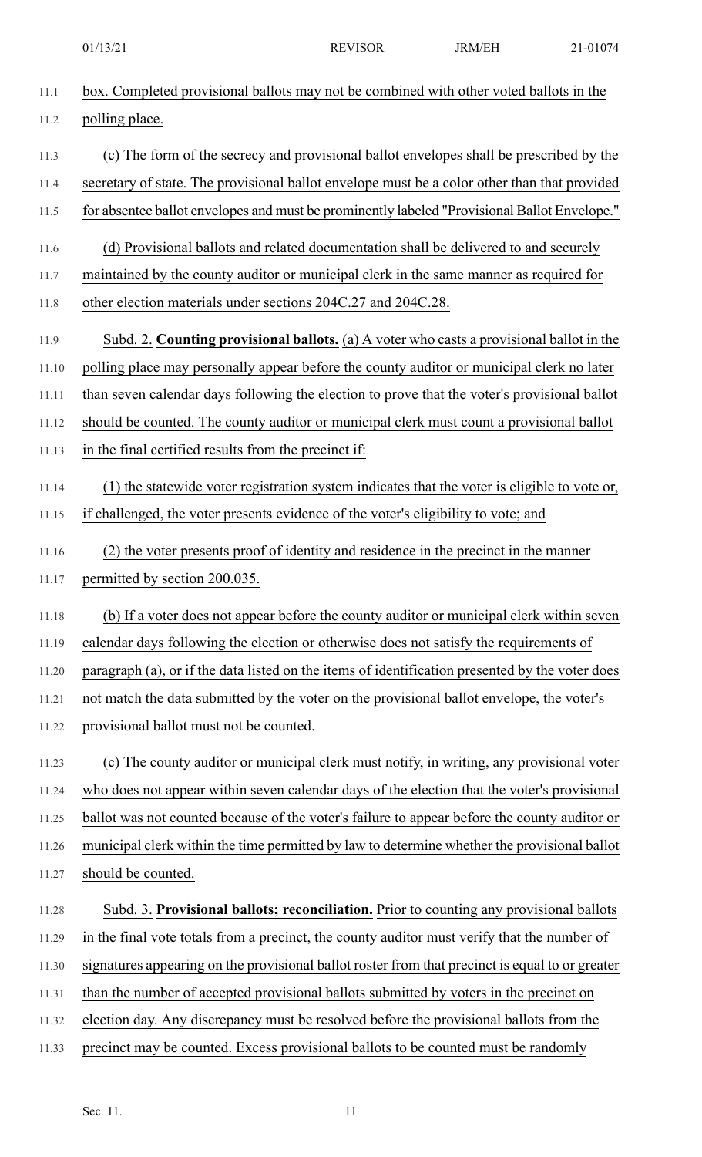- 11.1 box. Completed provisional ballots may not be combined with other voted ballots in the 11.2 polling place. 11.3 (c) The form of the secrecy and provisional ballot envelopes shall be prescribed by the 11.4 secretary of state. The provisional ballot envelope must be a color other than that provided 11.5 for absentee ballot envelopes and must be prominently labeled "Provisional Ballot Envelope." 11.6 (d) Provisional ballots and related documentation shall be delivered to and securely 11.7 maintained by the county auditor or municipal clerk in the same manner as required for 11.8 other election materials under sections 204C.27 and 204C.28. 11.9 Subd. 2. **Counting provisional ballots.** (a) A voter who casts a provisional ballot in the 11.10 polling place may personally appear before the county auditor or municipal clerk no later 11.11 than seven calendar days following the election to prove that the voter's provisional ballot 11.12 should be counted. The county auditor or municipal clerk must count a provisional ballot 11.13 in the final certified results from the precinct if: 11.14 (1) the statewide voter registration system indicates that the voter is eligible to vote or, 11.15 if challenged, the voter presents evidence of the voter's eligibility to vote; and 11.16 (2) the voter presents proof of identity and residence in the precinct in the manner 11.17 permitted by section 200.035. 11.18 (b) If a voter does not appear before the county auditor or municipal clerk within seven 11.19 calendar days following the election or otherwise does not satisfy the requirements of 11.20 paragraph (a), or if the data listed on the items of identification presented by the voter does 11.21 not match the data submitted by the voter on the provisional ballot envelope, the voter's 11.22 provisional ballot must not be counted. 11.23 (c) The county auditor or municipal clerk must notify, in writing, any provisional voter 11.24 who does not appear within seven calendar days of the election that the voter's provisional 11.25 ballot was not counted because of the voter's failure to appear before the county auditor or 11.26 municipal clerk within the time permitted by law to determine whether the provisional ballot 11.27 should be counted. 11.28 Subd. 3. **Provisional ballots; reconciliation.** Prior to counting any provisional ballots 11.29 in the final vote totals from a precinct, the county auditor must verify that the number of 11.30 signatures appearing on the provisional ballot roster from that precinct is equal to or greater 11.31 than the number of accepted provisional ballots submitted by voters in the precinct on 11.32 election day. Any discrepancy must be resolved before the provisional ballots from the
- 11.33 precinct may be counted. Excess provisional ballots to be counted must be randomly